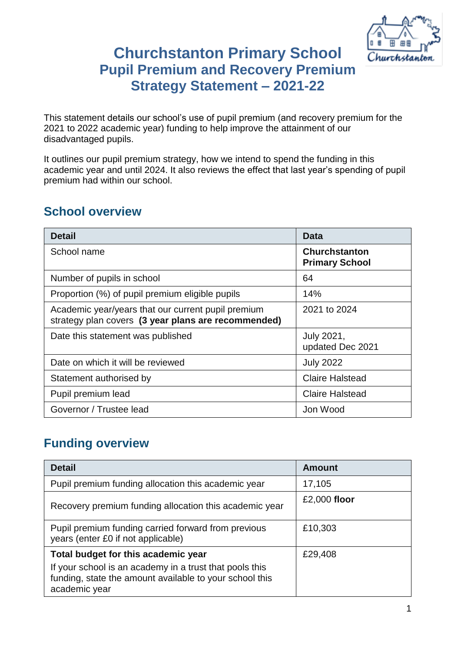

# **Churchstanton Primary School Pupil Premium and Recovery Premium Strategy Statement – 2021-22**

This statement details our school's use of pupil premium (and recovery premium for the 2021 to 2022 academic year) funding to help improve the attainment of our disadvantaged pupils.

It outlines our pupil premium strategy, how we intend to spend the funding in this academic year and until 2024. It also reviews the effect that last year's spending of pupil premium had within our school.

### **School overview**

| <b>Detail</b>                                                                                             | Data                                          |
|-----------------------------------------------------------------------------------------------------------|-----------------------------------------------|
| School name                                                                                               | <b>Churchstanton</b><br><b>Primary School</b> |
| Number of pupils in school                                                                                | 64                                            |
| Proportion (%) of pupil premium eligible pupils                                                           | 14%                                           |
| Academic year/years that our current pupil premium<br>strategy plan covers (3 year plans are recommended) | 2021 to 2024                                  |
| Date this statement was published                                                                         | July 2021,<br>updated Dec 2021                |
| Date on which it will be reviewed                                                                         | <b>July 2022</b>                              |
| Statement authorised by                                                                                   | <b>Claire Halstead</b>                        |
| Pupil premium lead                                                                                        | <b>Claire Halstead</b>                        |
| Governor / Trustee lead                                                                                   | Jon Wood                                      |

## **Funding overview**

| <b>Detail</b>                                                                                                                       | <b>Amount</b> |
|-------------------------------------------------------------------------------------------------------------------------------------|---------------|
| Pupil premium funding allocation this academic year                                                                                 | 17,105        |
| Recovery premium funding allocation this academic year                                                                              | £2,000 floor  |
| Pupil premium funding carried forward from previous<br>years (enter £0 if not applicable)                                           | £10,303       |
| Total budget for this academic year                                                                                                 | £29,408       |
| If your school is an academy in a trust that pools this<br>funding, state the amount available to your school this<br>academic year |               |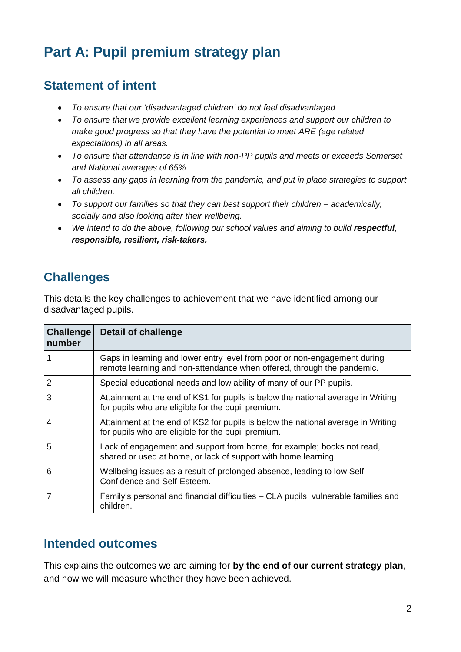# **Part A: Pupil premium strategy plan**

### **Statement of intent**

- *To ensure that our 'disadvantaged children' do not feel disadvantaged.*
- *To ensure that we provide excellent learning experiences and support our children to make good progress so that they have the potential to meet ARE (age related expectations) in all areas.*
- *To ensure that attendance is in line with non-PP pupils and meets or exceeds Somerset and National averages of 65%*
- *To assess any gaps in learning from the pandemic, and put in place strategies to support all children.*
- *To support our families so that they can best support their children – academically, socially and also looking after their wellbeing.*
- We intend to do the above, following our school values and aiming to build **respectful**, *responsible, resilient, risk-takers.*

## **Challenges**

This details the key challenges to achievement that we have identified among our disadvantaged pupils.

| <b>Challenge</b><br>number | <b>Detail of challenge</b>                                                                                                                          |
|----------------------------|-----------------------------------------------------------------------------------------------------------------------------------------------------|
|                            | Gaps in learning and lower entry level from poor or non-engagement during<br>remote learning and non-attendance when offered, through the pandemic. |
| $\overline{2}$             | Special educational needs and low ability of many of our PP pupils.                                                                                 |
| 3                          | Attainment at the end of KS1 for pupils is below the national average in Writing<br>for pupils who are eligible for the pupil premium.              |
| 4                          | Attainment at the end of KS2 for pupils is below the national average in Writing<br>for pupils who are eligible for the pupil premium.              |
| 5                          | Lack of engagement and support from home, for example; books not read,<br>shared or used at home, or lack of support with home learning.            |
| 6                          | Wellbeing issues as a result of prolonged absence, leading to low Self-<br>Confidence and Self-Esteem.                                              |
| 7                          | Family's personal and financial difficulties – CLA pupils, vulnerable families and<br>children.                                                     |

### **Intended outcomes**

This explains the outcomes we are aiming for **by the end of our current strategy plan**, and how we will measure whether they have been achieved.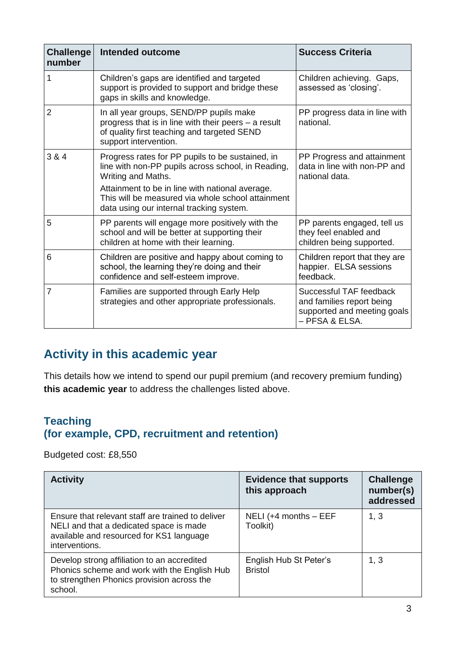| <b>Challenge</b><br>number | <b>Intended outcome</b>                                                                                                                                                                                                                                                          | <b>Success Criteria</b>                                                                               |
|----------------------------|----------------------------------------------------------------------------------------------------------------------------------------------------------------------------------------------------------------------------------------------------------------------------------|-------------------------------------------------------------------------------------------------------|
|                            | Children's gaps are identified and targeted<br>support is provided to support and bridge these<br>gaps in skills and knowledge.                                                                                                                                                  | Children achieving. Gaps,<br>assessed as 'closing'.                                                   |
| $\overline{2}$             | In all year groups, SEND/PP pupils make<br>progress that is in line with their peers - a result<br>of quality first teaching and targeted SEND<br>support intervention.                                                                                                          | PP progress data in line with<br>national.                                                            |
| 3 & 4                      | Progress rates for PP pupils to be sustained, in<br>line with non-PP pupils across school, in Reading,<br>Writing and Maths.<br>Attainment to be in line with national average.<br>This will be measured via whole school attainment<br>data using our internal tracking system. | PP Progress and attainment<br>data in line with non-PP and<br>national data.                          |
| 5                          | PP parents will engage more positively with the<br>school and will be better at supporting their<br>children at home with their learning.                                                                                                                                        | PP parents engaged, tell us<br>they feel enabled and<br>children being supported.                     |
| 6                          | Children are positive and happy about coming to<br>school, the learning they're doing and their<br>confidence and self-esteem improve.                                                                                                                                           | Children report that they are<br>happier. ELSA sessions<br>feedback.                                  |
| 7                          | Families are supported through Early Help<br>strategies and other appropriate professionals.                                                                                                                                                                                     | Successful TAF feedback<br>and families report being<br>supported and meeting goals<br>- PFSA & ELSA. |

# **Activity in this academic year**

This details how we intend to spend our pupil premium (and recovery premium funding) **this academic year** to address the challenges listed above.

#### **Teaching (for example, CPD, recruitment and retention)**

Budgeted cost: £8,550

| <b>Activity</b>                                                                                                                                            | <b>Evidence that supports</b><br>this approach | <b>Challenge</b><br>number(s)<br>addressed |
|------------------------------------------------------------------------------------------------------------------------------------------------------------|------------------------------------------------|--------------------------------------------|
| Ensure that relevant staff are trained to deliver<br>NELI and that a dedicated space is made<br>available and resourced for KS1 language<br>interventions. | NELI ( $+4$ months $-$ EEF<br>Toolkit)         | 1, 3                                       |
| Develop strong affiliation to an accredited<br>Phonics scheme and work with the English Hub<br>to strengthen Phonics provision across the<br>school.       | English Hub St Peter's<br><b>Bristol</b>       | 1, 3                                       |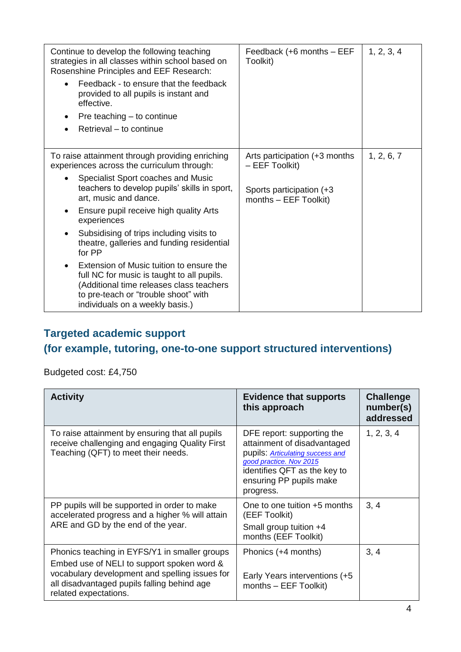| Continue to develop the following teaching<br>strategies in all classes within school based on<br>Rosenshine Principles and EEF Research:<br>Feedback - to ensure that the feedback<br>provided to all pupils is instant and<br>effective.<br>Pre teaching – to continue<br>Retrieval - to continue | Feedback (+6 months - EEF<br>Toolkit)              | 1, 2, 3, 4 |
|-----------------------------------------------------------------------------------------------------------------------------------------------------------------------------------------------------------------------------------------------------------------------------------------------------|----------------------------------------------------|------------|
| To raise attainment through providing enriching<br>experiences across the curriculum through:                                                                                                                                                                                                       | Arts participation (+3 months)<br>$-$ EEF Toolkit) | 1, 2, 6, 7 |
| Specialist Sport coaches and Music<br>teachers to develop pupils' skills in sport,<br>art, music and dance.                                                                                                                                                                                         | Sports participation (+3)<br>months - EEF Toolkit) |            |
| Ensure pupil receive high quality Arts<br>experiences                                                                                                                                                                                                                                               |                                                    |            |
| Subsidising of trips including visits to<br>theatre, galleries and funding residential<br>for PP                                                                                                                                                                                                    |                                                    |            |
| Extension of Music tuition to ensure the<br>full NC for music is taught to all pupils.<br>(Additional time releases class teachers<br>to pre-teach or "trouble shoot" with<br>individuals on a weekly basis.)                                                                                       |                                                    |            |

### **Targeted academic support**

# **(for example, tutoring, one-to-one support structured interventions)**

Budgeted cost: £4,750

| <b>Activity</b>                                                                                                                                                                                                       | <b>Evidence that supports</b><br>this approach                                                                                                                                                   | <b>Challenge</b><br>number(s)<br>addressed |
|-----------------------------------------------------------------------------------------------------------------------------------------------------------------------------------------------------------------------|--------------------------------------------------------------------------------------------------------------------------------------------------------------------------------------------------|--------------------------------------------|
| To raise attainment by ensuring that all pupils<br>receive challenging and engaging Quality First<br>Teaching (QFT) to meet their needs.                                                                              | DFE report: supporting the<br>attainment of disadvantaged<br>pupils: Articulating success and<br>good practice. Nov 2015<br>identifies QFT as the key to<br>ensuring PP pupils make<br>progress. | 1, 2, 3, 4                                 |
| PP pupils will be supported in order to make<br>accelerated progress and a higher % will attain<br>ARE and GD by the end of the year.                                                                                 | One to one tuition $+5$ months<br>(EEF Toolkit)<br>Small group tuition +4<br>months (EEF Toolkit)                                                                                                | 3, 4                                       |
| Phonics teaching in EYFS/Y1 in smaller groups<br>Embed use of NELI to support spoken word &<br>vocabulary development and spelling issues for<br>all disadvantaged pupils falling behind age<br>related expectations. | Phonics (+4 months)<br>Early Years interventions (+5<br>months - EEF Toolkit)                                                                                                                    | 3, 4                                       |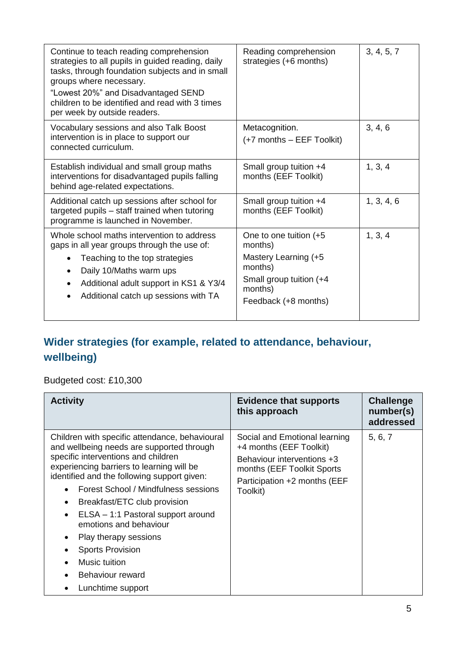| Reading comprehension<br>strategies (+6 months)                                                                                     | 3, 4, 5, 7 |
|-------------------------------------------------------------------------------------------------------------------------------------|------------|
| Metacognition.<br>(+7 months – EEF Toolkit)                                                                                         | 3, 4, 6    |
| Small group tuition +4<br>months (EEF Toolkit)                                                                                      | 1, 3, 4    |
| Small group tuition +4<br>months (EEF Toolkit)                                                                                      | 1, 3, 4, 6 |
| One to one tuition (+5<br>months)<br>Mastery Learning (+5<br>months)<br>Small group tuition (+4)<br>months)<br>Feedback (+8 months) | 1, 3, 4    |
|                                                                                                                                     |            |

## **Wider strategies (for example, related to attendance, behaviour, wellbeing)**

### Budgeted cost: £10,300

| <b>Activity</b>                                                                                                                                                                                                                                                                                                                                                                                                                                                                      | <b>Evidence that supports</b><br>this approach                                                                                                                   | <b>Challenge</b><br>number(s)<br>addressed |
|--------------------------------------------------------------------------------------------------------------------------------------------------------------------------------------------------------------------------------------------------------------------------------------------------------------------------------------------------------------------------------------------------------------------------------------------------------------------------------------|------------------------------------------------------------------------------------------------------------------------------------------------------------------|--------------------------------------------|
| Children with specific attendance, behavioural<br>and wellbeing needs are supported through<br>specific interventions and children<br>experiencing barriers to learning will be<br>identified and the following support given:<br>Forest School / Mindfulness sessions<br>Breakfast/ETC club provision<br>ELSA - 1:1 Pastoral support around<br>emotions and behaviour<br>Play therapy sessions<br><b>Sports Provision</b><br>Music tuition<br>Behaviour reward<br>Lunchtime support | Social and Emotional learning<br>+4 months (EEF Toolkit)<br>Behaviour interventions +3<br>months (EEF Toolkit Sports<br>Participation +2 months (EEF<br>Toolkit) | 5, 6, 7                                    |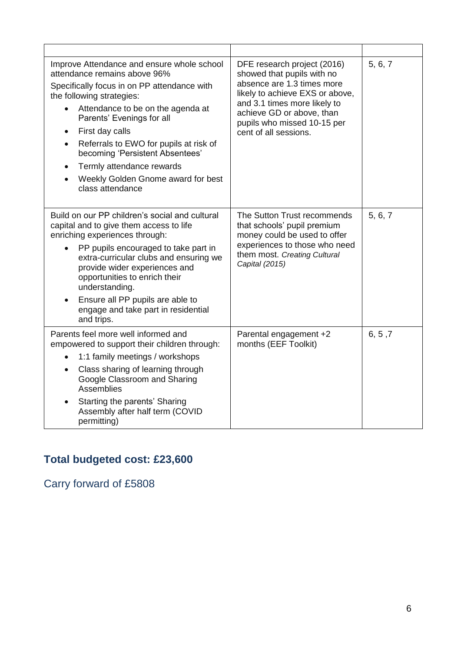| Improve Attendance and ensure whole school<br>attendance remains above 96%<br>Specifically focus in on PP attendance with<br>the following strategies:<br>Attendance to be on the agenda at<br>$\bullet$<br>Parents' Evenings for all<br>First day calls<br>$\bullet$<br>Referrals to EWO for pupils at risk of<br>$\bullet$<br>becoming 'Persistent Absentees'<br>Termly attendance rewards<br>$\bullet$<br>Weekly Golden Gnome award for best<br>$\bullet$<br>class attendance | DFE research project (2016)<br>showed that pupils with no<br>absence are 1.3 times more<br>likely to achieve EXS or above,<br>and 3.1 times more likely to<br>achieve GD or above, than<br>pupils who missed 10-15 per<br>cent of all sessions. | 5, 6, 7 |
|----------------------------------------------------------------------------------------------------------------------------------------------------------------------------------------------------------------------------------------------------------------------------------------------------------------------------------------------------------------------------------------------------------------------------------------------------------------------------------|-------------------------------------------------------------------------------------------------------------------------------------------------------------------------------------------------------------------------------------------------|---------|
| Build on our PP children's social and cultural<br>capital and to give them access to life<br>enriching experiences through:<br>PP pupils encouraged to take part in<br>$\bullet$<br>extra-curricular clubs and ensuring we<br>provide wider experiences and<br>opportunities to enrich their<br>understanding.<br>Ensure all PP pupils are able to<br>$\bullet$<br>engage and take part in residential<br>and trips.                                                             | The Sutton Trust recommends<br>that schools' pupil premium<br>money could be used to offer<br>experiences to those who need<br>them most. Creating Cultural<br>Capital (2015)                                                                   | 5, 6, 7 |
| Parents feel more well informed and<br>empowered to support their children through:<br>1:1 family meetings / workshops<br>$\bullet$<br>Class sharing of learning through<br>$\bullet$<br>Google Classroom and Sharing<br>Assemblies<br>Starting the parents' Sharing<br>$\bullet$<br>Assembly after half term (COVID<br>permitting)                                                                                                                                              | Parental engagement +2<br>months (EEF Toolkit)                                                                                                                                                                                                  | 6, 5, 7 |

# **Total budgeted cost: £23,600**

Carry forward of £5808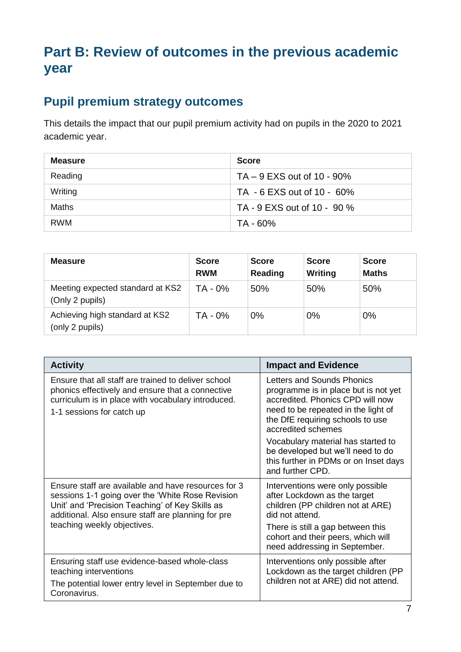# **Part B: Review of outcomes in the previous academic year**

# **Pupil premium strategy outcomes**

This details the impact that our pupil premium activity had on pupils in the 2020 to 2021 academic year.

| <b>Measure</b> | <b>Score</b>                 |
|----------------|------------------------------|
| Reading        | $TA - 9$ EXS out of 10 - 90% |
| Writing        | TA - 6 EXS out of 10 - 60%   |
| Maths          | TA - 9 EXS out of 10 - 90 %  |
| RWM            | TA - 60%                     |

| <b>Measure</b>                                      | <b>Score</b><br><b>RWM</b> | <b>Score</b><br>Reading | <b>Score</b><br>Writing | <b>Score</b><br><b>Maths</b> |
|-----------------------------------------------------|----------------------------|-------------------------|-------------------------|------------------------------|
| Meeting expected standard at KS2<br>(Only 2 pupils) | TA - 0%                    | 50%                     | 50%                     | 50%                          |
| Achieving high standard at KS2<br>(only 2 pupils)   | TA - 0%                    | $0\%$                   | 0%                      | 0%                           |

| <b>Activity</b>                                                                                                                                                                                                                                 | <b>Impact and Evidence</b>                                                                                                                                                                              |
|-------------------------------------------------------------------------------------------------------------------------------------------------------------------------------------------------------------------------------------------------|---------------------------------------------------------------------------------------------------------------------------------------------------------------------------------------------------------|
| Ensure that all staff are trained to deliver school<br>phonics effectively and ensure that a connective<br>curriculum is in place with vocabulary introduced.<br>1-1 sessions for catch up                                                      | Letters and Sounds Phonics<br>programme is in place but is not yet<br>accredited. Phonics CPD will now<br>need to be repeated in the light of<br>the DfE requiring schools to use<br>accredited schemes |
|                                                                                                                                                                                                                                                 | Vocabulary material has started to<br>be developed but we'll need to do<br>this further in PDMs or on Inset days<br>and further CPD.                                                                    |
| Ensure staff are available and have resources for 3<br>sessions 1-1 going over the 'White Rose Revision<br>Unit' and 'Precision Teaching' of Key Skills as<br>additional. Also ensure staff are planning for pre<br>teaching weekly objectives. | Interventions were only possible<br>after Lockdown as the target<br>children (PP children not at ARE)<br>did not attend.                                                                                |
|                                                                                                                                                                                                                                                 | There is still a gap between this<br>cohort and their peers, which will<br>need addressing in September.                                                                                                |
| Ensuring staff use evidence-based whole-class<br>teaching interventions<br>The potential lower entry level in September due to<br>Coronavirus.                                                                                                  | Interventions only possible after<br>Lockdown as the target children (PP<br>children not at ARE) did not attend.                                                                                        |